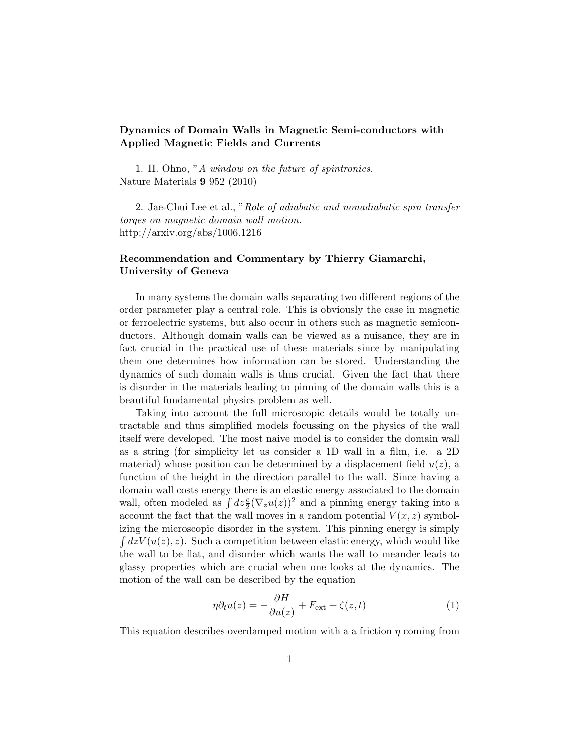## Dynamics of Domain Walls in Magnetic Semi-conductors with Applied Magnetic Fields and Currents

1. H. Ohno, "A window on the future of spintronics. Nature Materials 9 952 (2010)

2. Jae-Chui Lee et al., "Role of adiabatic and nonadiabatic spin transfer torqes on magnetic domain wall motion. http://arxiv.org/abs/1006.1216

## Recommendation and Commentary by Thierry Giamarchi, University of Geneva

In many systems the domain walls separating two different regions of the order parameter play a central role. This is obviously the case in magnetic or ferroelectric systems, but also occur in others such as magnetic semiconductors. Although domain walls can be viewed as a nuisance, they are in fact crucial in the practical use of these materials since by manipulating them one determines how information can be stored. Understanding the dynamics of such domain walls is thus crucial. Given the fact that there is disorder in the materials leading to pinning of the domain walls this is a beautiful fundamental physics problem as well.

Taking into account the full microscopic details would be totally untractable and thus simplified models focussing on the physics of the wall itself were developed. The most naive model is to consider the domain wall as a string (for simplicity let us consider a 1D wall in a film, i.e. a 2D material) whose position can be determined by a displacement field  $u(z)$ , a function of the height in the direction parallel to the wall. Since having a domain wall costs energy there is an elastic energy associated to the domain wall, often modeled as  $\int dz \frac{c}{2} (\nabla_z u(z))^2$  and a pinning energy taking into a account the fact that the wall moves in a random potential  $V(x, z)$  symbolizing the microscopic disorder in the system. This pinning energy is simply  $\int dz V(u(z), z)$ . Such a competition between elastic energy, which would like the wall to be flat, and disorder which wants the wall to meander leads to glassy properties which are crucial when one looks at the dynamics. The motion of the wall can be described by the equation

$$
\eta \partial_t u(z) = -\frac{\partial H}{\partial u(z)} + F_{\text{ext}} + \zeta(z, t) \tag{1}
$$

This equation describes overdamped motion with a a friction  $\eta$  coming from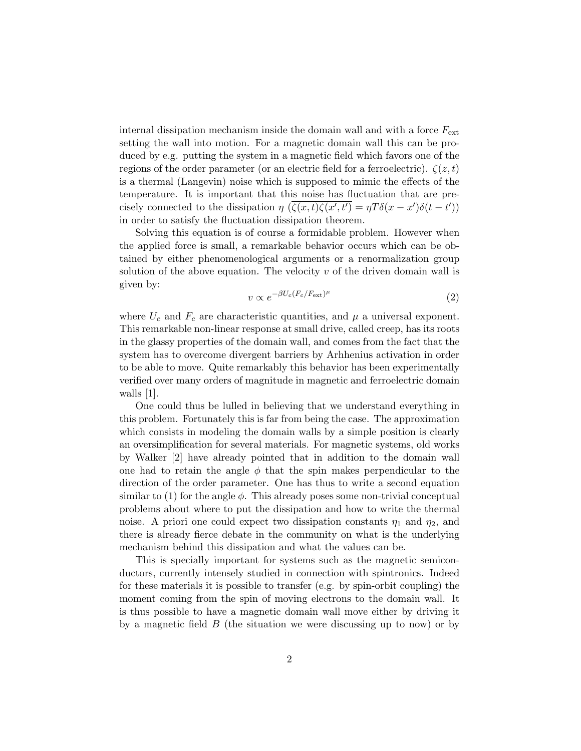internal dissipation mechanism inside the domain wall and with a force  $F_{\text{ext}}$ setting the wall into motion. For a magnetic domain wall this can be produced by e.g. putting the system in a magnetic field which favors one of the regions of the order parameter (or an electric field for a ferroelectric).  $\zeta(z,t)$ is a thermal (Langevin) noise which is supposed to mimic the effects of the temperature. It is important that this noise has fluctuation that are precisely connected to the dissipation  $\eta$   $(\overline{\zeta(x,t)\zeta(x',t')} = \eta T\delta(x-x')\delta(t-t'))$ in order to satisfy the fluctuation dissipation theorem.

Solving this equation is of course a formidable problem. However when the applied force is small, a remarkable behavior occurs which can be obtained by either phenomenological arguments or a renormalization group solution of the above equation. The velocity  $v$  of the driven domain wall is given by:

$$
v \propto e^{-\beta U_c (F_c/F_{\text{ext}})^{\mu}} \tag{2}
$$

where  $U_c$  and  $F_c$  are characteristic quantities, and  $\mu$  a universal exponent. This remarkable non-linear response at small drive, called creep, has its roots in the glassy properties of the domain wall, and comes from the fact that the system has to overcome divergent barriers by Arhhenius activation in order to be able to move. Quite remarkably this behavior has been experimentally verified over many orders of magnitude in magnetic and ferroelectric domain walls [1].

One could thus be lulled in believing that we understand everything in this problem. Fortunately this is far from being the case. The approximation which consists in modeling the domain walls by a simple position is clearly an oversimplification for several materials. For magnetic systems, old works by Walker [2] have already pointed that in addition to the domain wall one had to retain the angle  $\phi$  that the spin makes perpendicular to the direction of the order parameter. One has thus to write a second equation similar to (1) for the angle  $\phi$ . This already poses some non-trivial conceptual problems about where to put the dissipation and how to write the thermal noise. A priori one could expect two dissipation constants  $\eta_1$  and  $\eta_2$ , and there is already fierce debate in the community on what is the underlying mechanism behind this dissipation and what the values can be.

This is specially important for systems such as the magnetic semiconductors, currently intensely studied in connection with spintronics. Indeed for these materials it is possible to transfer (e.g. by spin-orbit coupling) the moment coming from the spin of moving electrons to the domain wall. It is thus possible to have a magnetic domain wall move either by driving it by a magnetic field  $B$  (the situation we were discussing up to now) or by